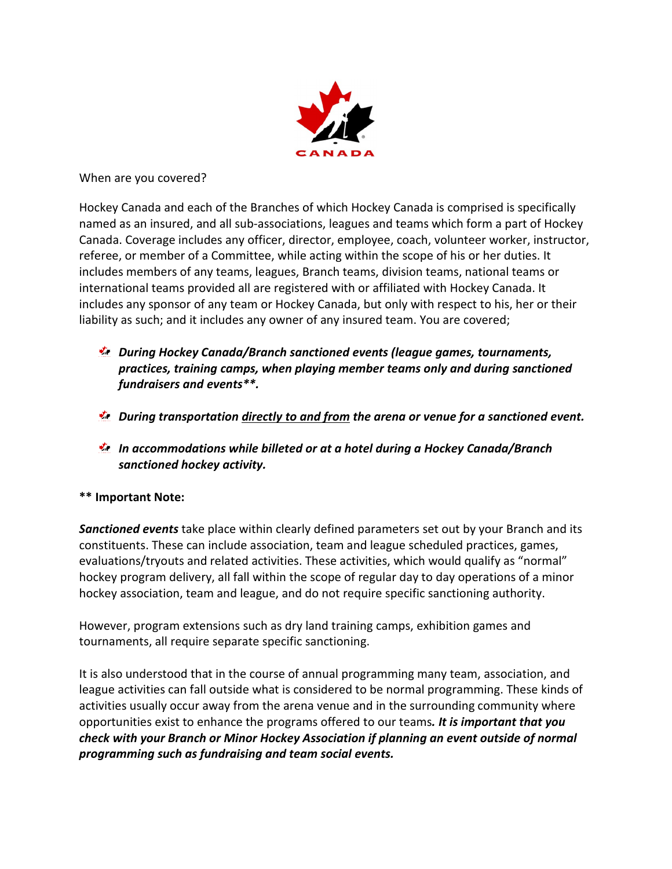

When are you covered?

Hockey Canada and each of the Branches of which Hockey Canada is comprised is specifically named as an insured, and all sub-associations, leagues and teams which form a part of Hockey Canada. Coverage includes any officer, director, employee, coach, volunteer worker, instructor, referee, or member of a Committee, while acting within the scope of his or her duties. It includes members of any teams, leagues, Branch teams, division teams, national teams or international teams provided all are registered with or affiliated with Hockey Canada. It includes any sponsor of any team or Hockey Canada, but only with respect to his, her or their liability as such; and it includes any owner of any insured team. You are covered;

- During Hockey Canada/Branch sanctioned events (league games, tournaments, practices, training camps, when playing member teams only and during sanctioned fundraisers and events\*\*.
- $\mathbf{\dot{z}}$ . During transportation directly to and from the arena or venue for a sanctioned event.
- **E** In accommodations while billeted or at a hotel during a Hockey Canada/Branch sanctioned hockey activity.

## \*\* Important Note:

Sanctioned events take place within clearly defined parameters set out by your Branch and its constituents. These can include association, team and league scheduled practices, games, evaluations/tryouts and related activities. These activities, which would qualify as "normal" hockey program delivery, all fall within the scope of regular day to day operations of a minor hockey association, team and league, and do not require specific sanctioning authority.

However, program extensions such as dry land training camps, exhibition games and tournaments, all require separate specific sanctioning.

It is also understood that in the course of annual programming many team, association, and league activities can fall outside what is considered to be normal programming. These kinds of activities usually occur away from the arena venue and in the surrounding community where opportunities exist to enhance the programs offered to our teams. It is important that you check with your Branch or Minor Hockey Association if planning an event outside of normal programming such as fundraising and team social events.